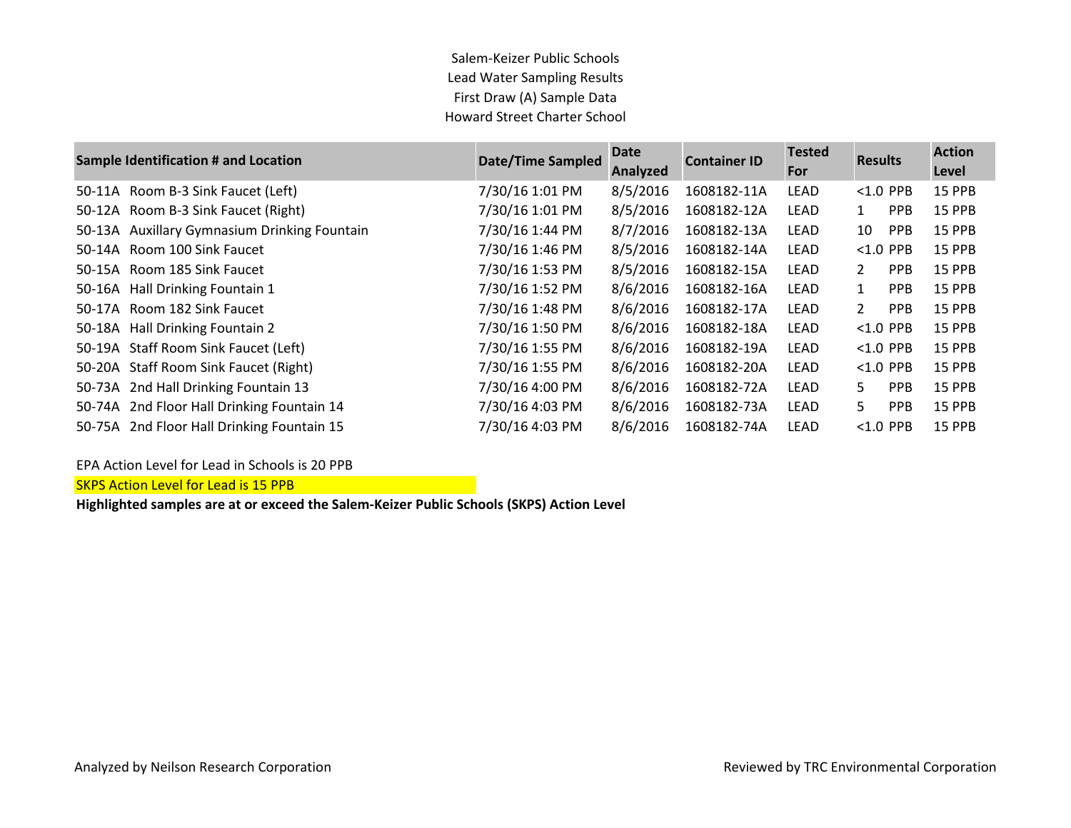Salem-Keizer Public Schools Lead Water Sampling Results First Draw (A) Sample Data Howard Street Charter School

|        | <b>Sample Identification # and Location</b>  | <b>Date/Time Sampled</b> | <b>Date</b><br>Analyzed | <b>Container ID</b> | <b>Tested</b><br>For | <b>Results</b> |            | <b>Action</b><br>Level |
|--------|----------------------------------------------|--------------------------|-------------------------|---------------------|----------------------|----------------|------------|------------------------|
| 50-11A | Room B-3 Sink Faucet (Left)                  | 7/30/16 1:01 PM          | 8/5/2016                | 1608182-11A         | LEAD                 | $< 1.0$ PPB    |            | 15 PPB                 |
|        | 50-12A Room B-3 Sink Faucet (Right)          | 7/30/16 1:01 PM          | 8/5/2016                | 1608182-12A         | LEAD                 | $\mathbf{1}$   | <b>PPB</b> | 15 PPB                 |
| 50-13A | <b>Auxillary Gymnasium Drinking Fountain</b> | 7/30/16 1:44 PM          | 8/7/2016                | 1608182-13A         | LEAD                 | 10             | <b>PPB</b> | 15 PPB                 |
|        | 50-14A Room 100 Sink Faucet                  | 7/30/16 1:46 PM          | 8/5/2016                | 1608182-14A         | LEAD                 | $< 1.0$ PPB    |            | 15 PPB                 |
| 50-15A | Room 185 Sink Faucet                         | 7/30/16 1:53 PM          | 8/5/2016                | 1608182-15A         | LEAD                 | $\mathbf{2}$   | <b>PPB</b> | 15 PPB                 |
|        | 50-16A Hall Drinking Fountain 1              | 7/30/16 1:52 PM          | 8/6/2016                | 1608182-16A         | LEAD                 | $\mathbf{1}$   | PPB        | 15 PPB                 |
| 50-17A | Room 182 Sink Faucet                         | 7/30/16 1:48 PM          | 8/6/2016                | 1608182-17A         | LEAD                 | $\overline{2}$ | <b>PPB</b> | <b>15 PPB</b>          |
|        | 50-18A Hall Drinking Fountain 2              | 7/30/16 1:50 PM          | 8/6/2016                | 1608182-18A         | LEAD                 | $< 1.0$ PPB    |            | 15 PPB                 |
|        | 50-19A Staff Room Sink Faucet (Left)         | 7/30/16 1:55 PM          | 8/6/2016                | 1608182-19A         | LEAD                 | $< 1.0$ PPB    |            | 15 PPB                 |
|        | 50-20A Staff Room Sink Faucet (Right)        | 7/30/16 1:55 PM          | 8/6/2016                | 1608182-20A         | LEAD                 | $< 1.0$ PPB    |            | 15 PPB                 |
|        | 50-73A 2nd Hall Drinking Fountain 13         | 7/30/16 4:00 PM          | 8/6/2016                | 1608182-72A         | LEAD                 | 5.             | <b>PPB</b> | 15 PPB                 |
|        | 50-74A 2nd Floor Hall Drinking Fountain 14   | 7/30/16 4:03 PM          | 8/6/2016                | 1608182-73A         | LEAD                 | 5              | <b>PPB</b> | 15 PPB                 |
|        | 50-75A 2nd Floor Hall Drinking Fountain 15   | 7/30/16 4:03 PM          | 8/6/2016                | 1608182-74A         | LEAD                 | $< 1.0$ PPB    |            | <b>15 PPB</b>          |

EPA Action Level for Lead in Schools is 20 PPB

SKPS Action Level for Lead is 15 PPB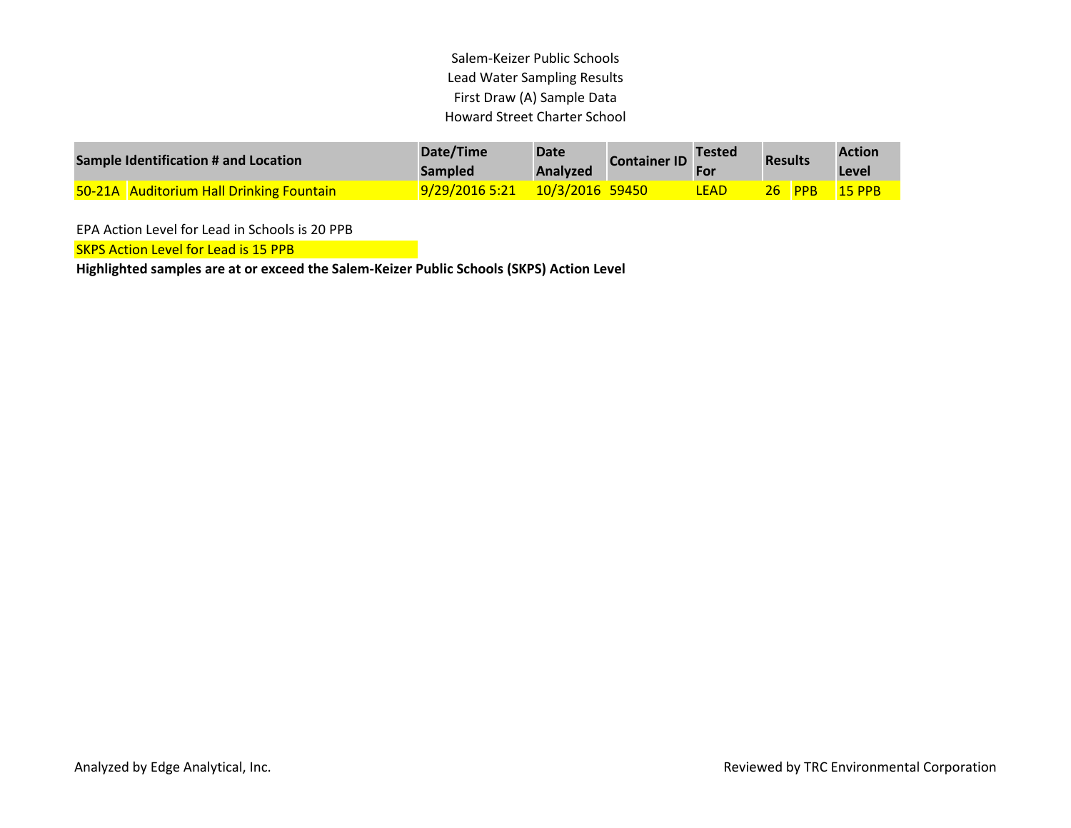Salem-Keizer Public Schools Lead Water Sampling Results First Draw (A) Sample Data Howard Street Charter School

| Sample Identification # and Location |                                                 | Date/Time<br><b>Sampled</b> | <b>Date</b><br>Analyzed | <b>Container ID</b> | <b>Tested</b><br>For | <b>Results</b> |             | <b>Action</b><br>Level |
|--------------------------------------|-------------------------------------------------|-----------------------------|-------------------------|---------------------|----------------------|----------------|-------------|------------------------|
|                                      | <b>50-21A</b> Auditorium Hall Drinking Fountain | 9/29/2016 5:21              | 10/3/2016 59450         |                     | <b>LEAD</b>          | 26.            | <b>NPPB</b> | <b>15 PPB</b>          |

EPA Action Level for Lead in Schools is 20 PPB

**SKPS Action Level for Lead is 15 PPB**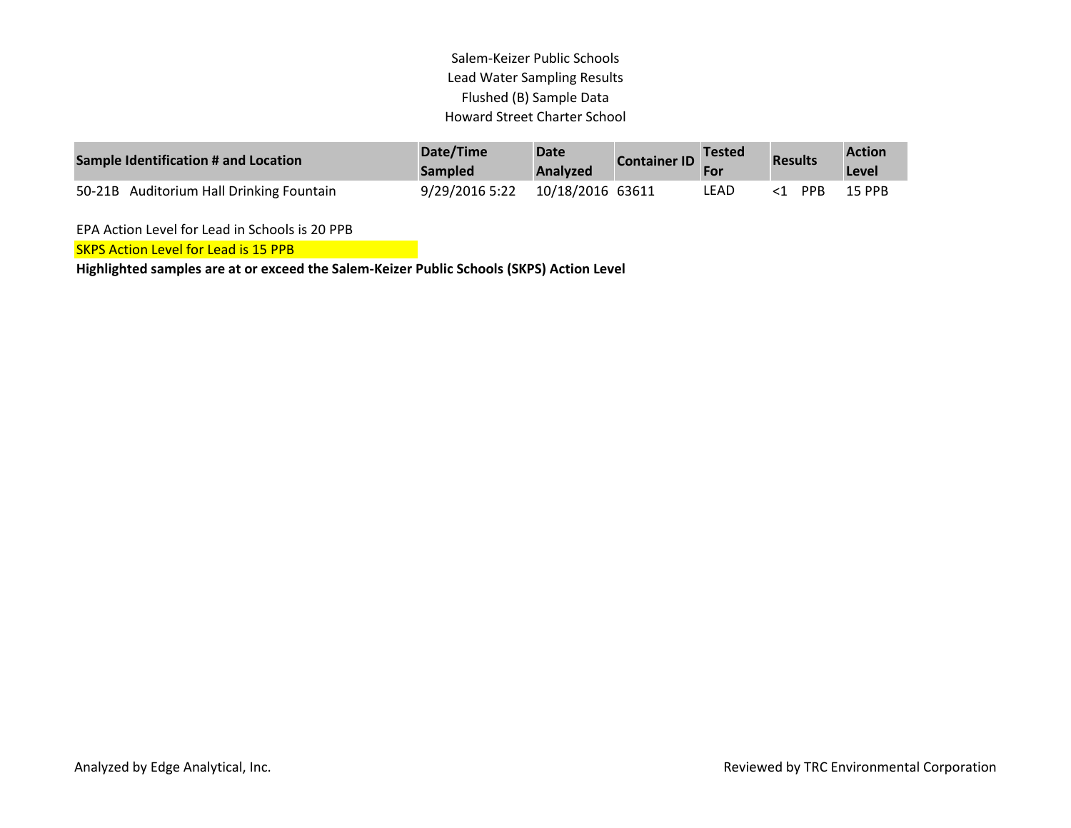## Salem-Keizer Public Schools Lead Water Sampling Results Flushed (B) Sample Data Howard Street Charter School

| Sample Identification # and Location     | Date/Time<br><b>Sampled</b> | <b>Date</b><br>Analyzed | <b>Container ID</b> | <b>Tested</b><br><b>For</b> | <b>Results</b> |            | <b>Action</b><br>Level |
|------------------------------------------|-----------------------------|-------------------------|---------------------|-----------------------------|----------------|------------|------------------------|
| 50-21B Auditorium Hall Drinking Fountain | 9/29/2016 5:22              | 10/18/2016 63611        |                     | LEAD                        |                | <b>PPR</b> | 15 PPB                 |

EPA Action Level for Lead in Schools is 20 PPB

**SKPS Action Level for Lead is 15 PPB**